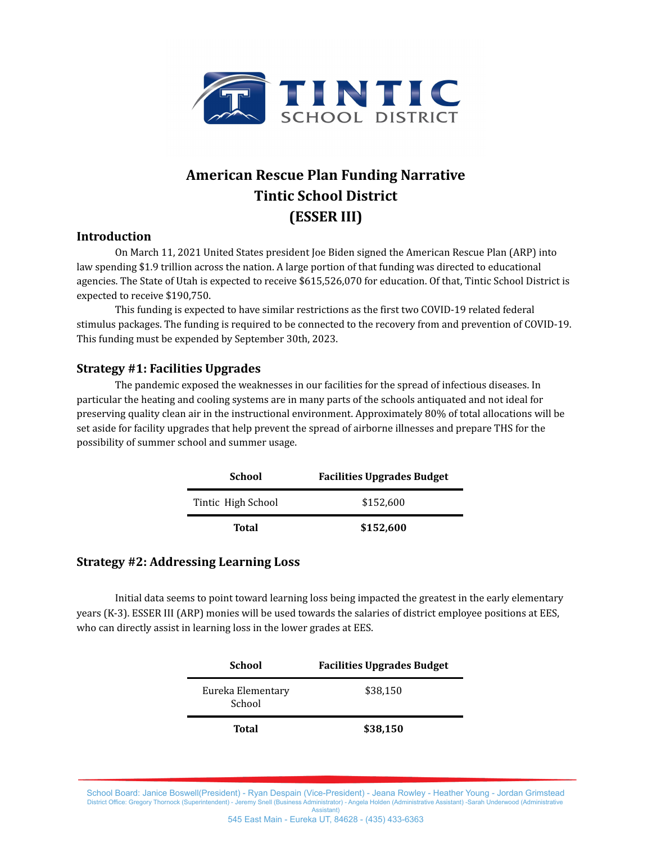

## **American Rescue Plan Funding Narrative Tintic School District (ESSER III)**

## **Introduction**

On March 11, 2021 United States president Joe Biden signed the American Rescue Plan (ARP) into law spending \$1.9 trillion across the nation. A large portion of that funding was directed to educational agencies. The State of Utah is expected to receive \$615,526,070 for education. Of that, Tintic School District is expected to receive \$190,750.

This funding is expected to have similar restrictions as the first two COVID-19 related federal stimulus packages. The funding is required to be connected to the recovery from and prevention of COVID-19. This funding must be expended by September 30th, 2023.

## **Strategy #1: Facilities Upgrades**

The pandemic exposed the weaknesses in our facilities for the spread of infectious diseases. In particular the heating and cooling systems are in many parts of the schools antiquated and not ideal for preserving quality clean air in the instructional environment. Approximately 80% of total allocations will be set aside for facility upgrades that help prevent the spread of airborne illnesses and prepare THS for the possibility of summer school and summer usage.

| School             | <b>Facilities Upgrades Budget</b> |
|--------------------|-----------------------------------|
| Tintic High School | \$152,600                         |
| Total              | \$152,600                         |

## **Strategy #2: Addressing Learning Loss**

Initial data seems to point toward learning loss being impacted the greatest in the early elementary years (K-3). ESSER III (ARP) monies will be used towards the salaries of district employee positions at EES, who can directly assist in learning loss in the lower grades at EES.

| School                      | <b>Facilities Upgrades Budget</b> |
|-----------------------------|-----------------------------------|
| Eureka Elementary<br>School | \$38,150                          |
| Total                       | \$38,150                          |

School Board: Janice Boswell(President) - Ryan Despain (Vice-President) - Jeana Rowley - Heather Young - Jordan Grimstead District Office: Gregory Thornock (Superintendent) - Jeremy Snell (Business Administrator) - Angela Holden (Administrative Assistant) -Sarah Underwood (Administrative Assistant) 545 East Main - Eureka UT, 84628 - (435) 433-6363